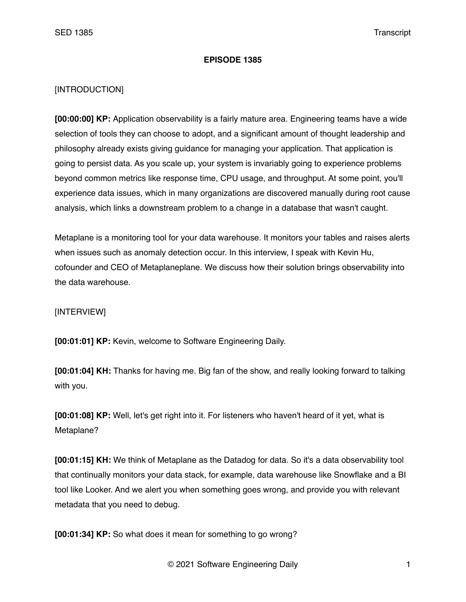## **EPISODE 1385**

## [INTRODUCTION]

**[00:00:00] KP:** Application observability is a fairly mature area. Engineering teams have a wide selection of tools they can choose to adopt, and a significant amount of thought leadership and philosophy already exists giving guidance for managing your application. That application is going to persist data. As you scale up, your system is invariably going to experience problems beyond common metrics like response time, CPU usage, and throughput. At some point, you'll experience data issues, which in many organizations are discovered manually during root cause analysis, which links a downstream problem to a change in a database that wasn't caught.

Metaplane is a monitoring tool for your data warehouse. It monitors your tables and raises alerts when issues such as anomaly detection occur. In this interview, I speak with Kevin Hu, cofounder and CEO of Metaplaneplane. We discuss how their solution brings observability into the data warehouse.

## [INTERVIEW]

**[00:01:01] KP:** Kevin, welcome to Software Engineering Daily.

**[00:01:04] KH:** Thanks for having me. Big fan of the show, and really looking forward to talking with you.

**[00:01:08] KP:** Well, let's get right into it. For listeners who haven't heard of it yet, what is Metaplane?

**[00:01:15] KH:** We think of Metaplane as the Datadog for data. So it's a data observability tool that continually monitors your data stack, for example, data warehouse like Snowflake and a BI tool like Looker. And we alert you when something goes wrong, and provide you with relevant metadata that you need to debug.

**[00:01:34] KP:** So what does it mean for something to go wrong?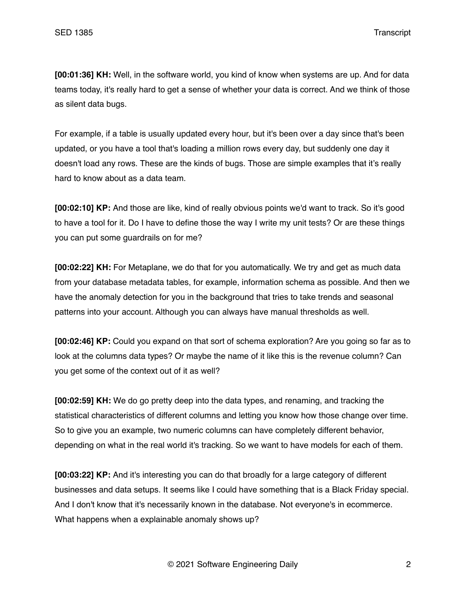**[00:01:36] KH:** Well, in the software world, you kind of know when systems are up. And for data teams today, it's really hard to get a sense of whether your data is correct. And we think of those as silent data bugs.

For example, if a table is usually updated every hour, but it's been over a day since that's been updated, or you have a tool that's loading a million rows every day, but suddenly one day it doesn't load any rows. These are the kinds of bugs. Those are simple examples that it's really hard to know about as a data team.

**[00:02:10] KP:** And those are like, kind of really obvious points we'd want to track. So it's good to have a tool for it. Do I have to define those the way I write my unit tests? Or are these things you can put some guardrails on for me?

**[00:02:22] KH:** For Metaplane, we do that for you automatically. We try and get as much data from your database metadata tables, for example, information schema as possible. And then we have the anomaly detection for you in the background that tries to take trends and seasonal patterns into your account. Although you can always have manual thresholds as well.

**[00:02:46] KP:** Could you expand on that sort of schema exploration? Are you going so far as to look at the columns data types? Or maybe the name of it like this is the revenue column? Can you get some of the context out of it as well?

**[00:02:59] KH:** We do go pretty deep into the data types, and renaming, and tracking the statistical characteristics of different columns and letting you know how those change over time. So to give you an example, two numeric columns can have completely different behavior, depending on what in the real world it's tracking. So we want to have models for each of them.

**[00:03:22] KP:** And it's interesting you can do that broadly for a large category of different businesses and data setups. It seems like I could have something that is a Black Friday special. And I don't know that it's necessarily known in the database. Not everyone's in ecommerce. What happens when a explainable anomaly shows up?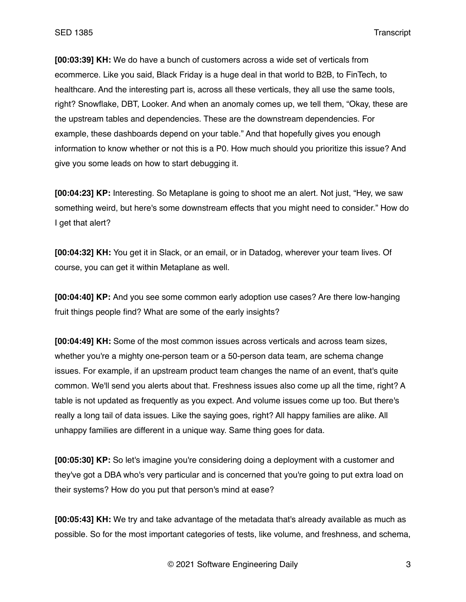**[00:03:39] KH:** We do have a bunch of customers across a wide set of verticals from ecommerce. Like you said, Black Friday is a huge deal in that world to B2B, to FinTech, to healthcare. And the interesting part is, across all these verticals, they all use the same tools, right? Snowflake, DBT, Looker. And when an anomaly comes up, we tell them, "Okay, these are the upstream tables and dependencies. These are the downstream dependencies. For example, these dashboards depend on your table." And that hopefully gives you enough information to know whether or not this is a P0. How much should you prioritize this issue? And give you some leads on how to start debugging it.

**[00:04:23] KP:** Interesting. So Metaplane is going to shoot me an alert. Not just, "Hey, we saw something weird, but here's some downstream effects that you might need to consider." How do I get that alert?

**[00:04:32] KH:** You get it in Slack, or an email, or in Datadog, wherever your team lives. Of course, you can get it within Metaplane as well.

**[00:04:40] KP:** And you see some common early adoption use cases? Are there low-hanging fruit things people find? What are some of the early insights?

**[00:04:49] KH:** Some of the most common issues across verticals and across team sizes, whether you're a mighty one-person team or a 50-person data team, are schema change issues. For example, if an upstream product team changes the name of an event, that's quite common. We'll send you alerts about that. Freshness issues also come up all the time, right? A table is not updated as frequently as you expect. And volume issues come up too. But there's really a long tail of data issues. Like the saying goes, right? All happy families are alike. All unhappy families are different in a unique way. Same thing goes for data.

**[00:05:30] KP:** So let's imagine you're considering doing a deployment with a customer and they've got a DBA who's very particular and is concerned that you're going to put extra load on their systems? How do you put that person's mind at ease?

**[00:05:43] KH:** We try and take advantage of the metadata that's already available as much as possible. So for the most important categories of tests, like volume, and freshness, and schema,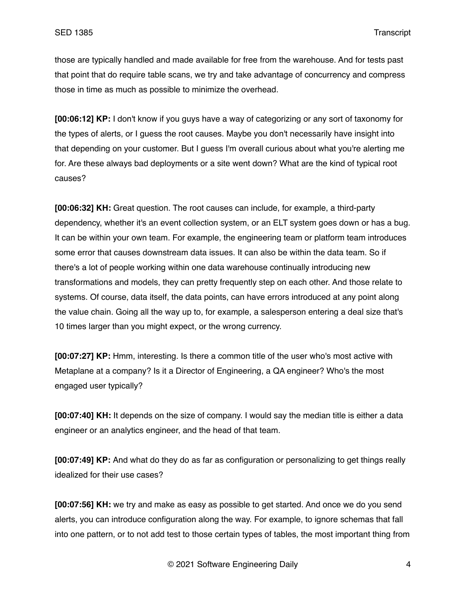those are typically handled and made available for free from the warehouse. And for tests past that point that do require table scans, we try and take advantage of concurrency and compress those in time as much as possible to minimize the overhead.

**[00:06:12] KP:** I don't know if you guys have a way of categorizing or any sort of taxonomy for the types of alerts, or I guess the root causes. Maybe you don't necessarily have insight into that depending on your customer. But I guess I'm overall curious about what you're alerting me for. Are these always bad deployments or a site went down? What are the kind of typical root causes?

**[00:06:32] KH:** Great question. The root causes can include, for example, a third-party dependency, whether it's an event collection system, or an ELT system goes down or has a bug. It can be within your own team. For example, the engineering team or platform team introduces some error that causes downstream data issues. It can also be within the data team. So if there's a lot of people working within one data warehouse continually introducing new transformations and models, they can pretty frequently step on each other. And those relate to systems. Of course, data itself, the data points, can have errors introduced at any point along the value chain. Going all the way up to, for example, a salesperson entering a deal size that's 10 times larger than you might expect, or the wrong currency.

**[00:07:27] KP:** Hmm, interesting. Is there a common title of the user who's most active with Metaplane at a company? Is it a Director of Engineering, a QA engineer? Who's the most engaged user typically?

**[00:07:40] KH:** It depends on the size of company. I would say the median title is either a data engineer or an analytics engineer, and the head of that team.

**[00:07:49] KP:** And what do they do as far as configuration or personalizing to get things really idealized for their use cases?

**[00:07:56] KH:** we try and make as easy as possible to get started. And once we do you send alerts, you can introduce configuration along the way. For example, to ignore schemas that fall into one pattern, or to not add test to those certain types of tables, the most important thing from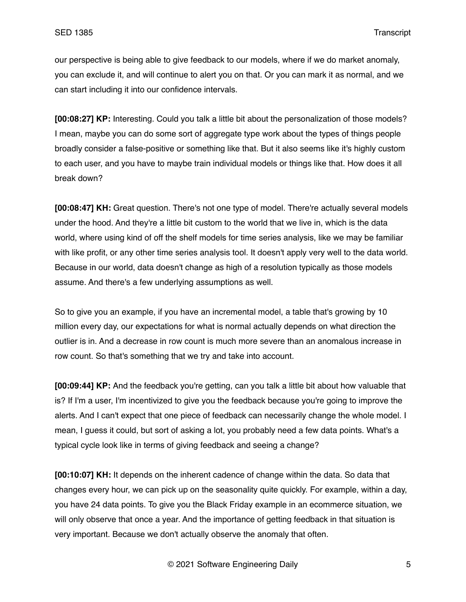our perspective is being able to give feedback to our models, where if we do market anomaly, you can exclude it, and will continue to alert you on that. Or you can mark it as normal, and we can start including it into our confidence intervals.

**[00:08:27] KP:** Interesting. Could you talk a little bit about the personalization of those models? I mean, maybe you can do some sort of aggregate type work about the types of things people broadly consider a false-positive or something like that. But it also seems like it's highly custom to each user, and you have to maybe train individual models or things like that. How does it all break down?

**[00:08:47] KH:** Great question. There's not one type of model. There're actually several models under the hood. And they're a little bit custom to the world that we live in, which is the data world, where using kind of off the shelf models for time series analysis, like we may be familiar with like profit, or any other time series analysis tool. It doesn't apply very well to the data world. Because in our world, data doesn't change as high of a resolution typically as those models assume. And there's a few underlying assumptions as well.

So to give you an example, if you have an incremental model, a table that's growing by 10 million every day, our expectations for what is normal actually depends on what direction the outlier is in. And a decrease in row count is much more severe than an anomalous increase in row count. So that's something that we try and take into account.

**[00:09:44] KP:** And the feedback you're getting, can you talk a little bit about how valuable that is? If I'm a user, I'm incentivized to give you the feedback because you're going to improve the alerts. And I can't expect that one piece of feedback can necessarily change the whole model. I mean, I guess it could, but sort of asking a lot, you probably need a few data points. What's a typical cycle look like in terms of giving feedback and seeing a change?

**[00:10:07] KH:** It depends on the inherent cadence of change within the data. So data that changes every hour, we can pick up on the seasonality quite quickly. For example, within a day, you have 24 data points. To give you the Black Friday example in an ecommerce situation, we will only observe that once a year. And the importance of getting feedback in that situation is very important. Because we don't actually observe the anomaly that often.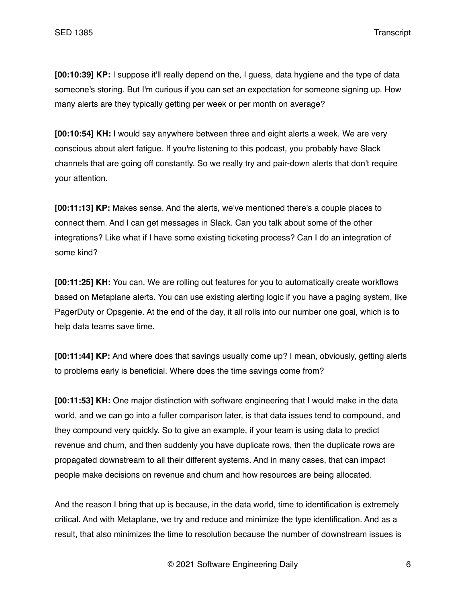**[00:10:39] KP:** I suppose it'll really depend on the, I guess, data hygiene and the type of data someone's storing. But I'm curious if you can set an expectation for someone signing up. How many alerts are they typically getting per week or per month on average?

**[00:10:54] KH:** I would say anywhere between three and eight alerts a week. We are very conscious about alert fatigue. If you're listening to this podcast, you probably have Slack channels that are going off constantly. So we really try and pair-down alerts that don't require your attention.

**[00:11:13] KP:** Makes sense. And the alerts, we've mentioned there's a couple places to connect them. And I can get messages in Slack. Can you talk about some of the other integrations? Like what if I have some existing ticketing process? Can I do an integration of some kind?

**[00:11:25] KH:** You can. We are rolling out features for you to automatically create workflows based on Metaplane alerts. You can use existing alerting logic if you have a paging system, like PagerDuty or Opsgenie. At the end of the day, it all rolls into our number one goal, which is to help data teams save time.

**[00:11:44] KP:** And where does that savings usually come up? I mean, obviously, getting alerts to problems early is beneficial. Where does the time savings come from?

**[00:11:53] KH:** One major distinction with software engineering that I would make in the data world, and we can go into a fuller comparison later, is that data issues tend to compound, and they compound very quickly. So to give an example, if your team is using data to predict revenue and churn, and then suddenly you have duplicate rows, then the duplicate rows are propagated downstream to all their different systems. And in many cases, that can impact people make decisions on revenue and churn and how resources are being allocated.

And the reason I bring that up is because, in the data world, time to identification is extremely critical. And with Metaplane, we try and reduce and minimize the type identification. And as a result, that also minimizes the time to resolution because the number of downstream issues is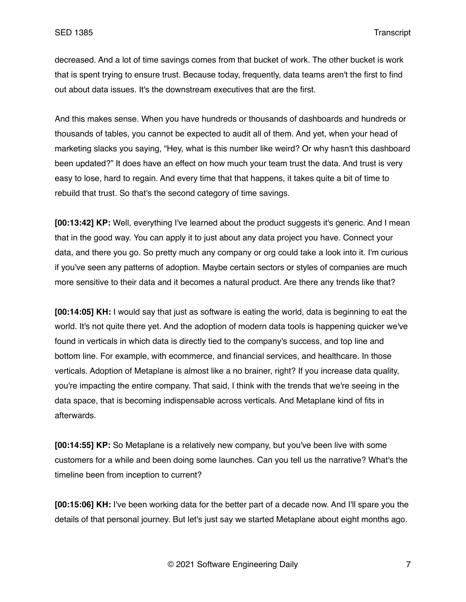decreased. And a lot of time savings comes from that bucket of work. The other bucket is work that is spent trying to ensure trust. Because today, frequently, data teams aren't the first to find out about data issues. It's the downstream executives that are the first.

And this makes sense. When you have hundreds or thousands of dashboards and hundreds or thousands of tables, you cannot be expected to audit all of them. And yet, when your head of marketing slacks you saying, "Hey, what is this number like weird? Or why hasn't this dashboard been updated?" It does have an effect on how much your team trust the data. And trust is very easy to lose, hard to regain. And every time that that happens, it takes quite a bit of time to rebuild that trust. So that's the second category of time savings.

**[00:13:42] KP:** Well, everything I've learned about the product suggests it's generic. And I mean that in the good way. You can apply it to just about any data project you have. Connect your data, and there you go. So pretty much any company or org could take a look into it. I'm curious if you've seen any patterns of adoption. Maybe certain sectors or styles of companies are much more sensitive to their data and it becomes a natural product. Are there any trends like that?

**[00:14:05] KH:** I would say that just as software is eating the world, data is beginning to eat the world. It's not quite there yet. And the adoption of modern data tools is happening quicker we've found in verticals in which data is directly tied to the company's success, and top line and bottom line. For example, with ecommerce, and financial services, and healthcare. In those verticals. Adoption of Metaplane is almost like a no brainer, right? If you increase data quality, you're impacting the entire company. That said, I think with the trends that we're seeing in the data space, that is becoming indispensable across verticals. And Metaplane kind of fits in afterwards.

**[00:14:55] KP:** So Metaplane is a relatively new company, but you've been live with some customers for a while and been doing some launches. Can you tell us the narrative? What's the timeline been from inception to current?

**[00:15:06] KH:** I've been working data for the better part of a decade now. And I'll spare you the details of that personal journey. But let's just say we started Metaplane about eight months ago.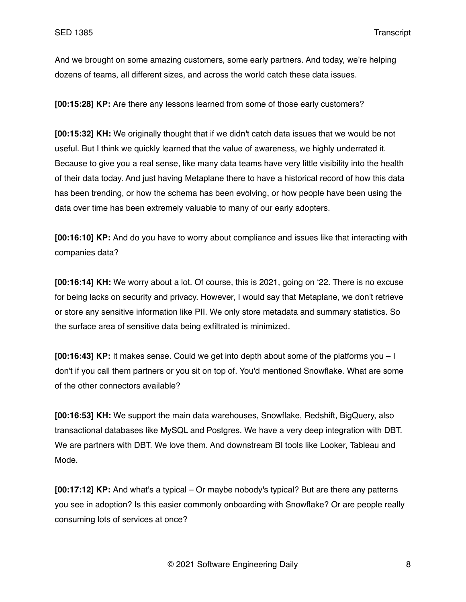And we brought on some amazing customers, some early partners. And today, we're helping dozens of teams, all different sizes, and across the world catch these data issues.

**[00:15:28] KP:** Are there any lessons learned from some of those early customers?

**[00:15:32] KH:** We originally thought that if we didn't catch data issues that we would be not useful. But I think we quickly learned that the value of awareness, we highly underrated it. Because to give you a real sense, like many data teams have very little visibility into the health of their data today. And just having Metaplane there to have a historical record of how this data has been trending, or how the schema has been evolving, or how people have been using the data over time has been extremely valuable to many of our early adopters.

**[00:16:10] KP:** And do you have to worry about compliance and issues like that interacting with companies data?

**[00:16:14] KH:** We worry about a lot. Of course, this is 2021, going on '22. There is no excuse for being lacks on security and privacy. However, I would say that Metaplane, we don't retrieve or store any sensitive information like PII. We only store metadata and summary statistics. So the surface area of sensitive data being exfiltrated is minimized.

**[00:16:43] KP:** It makes sense. Could we get into depth about some of the platforms you – I don't if you call them partners or you sit on top of. You'd mentioned Snowflake. What are some of the other connectors available?

**[00:16:53] KH:** We support the main data warehouses, Snowflake, Redshift, BigQuery, also transactional databases like MySQL and Postgres. We have a very deep integration with DBT. We are partners with DBT. We love them. And downstream BI tools like Looker, Tableau and Mode.

**[00:17:12] KP:** And what's a typical – Or maybe nobody's typical? But are there any patterns you see in adoption? Is this easier commonly onboarding with Snowflake? Or are people really consuming lots of services at once?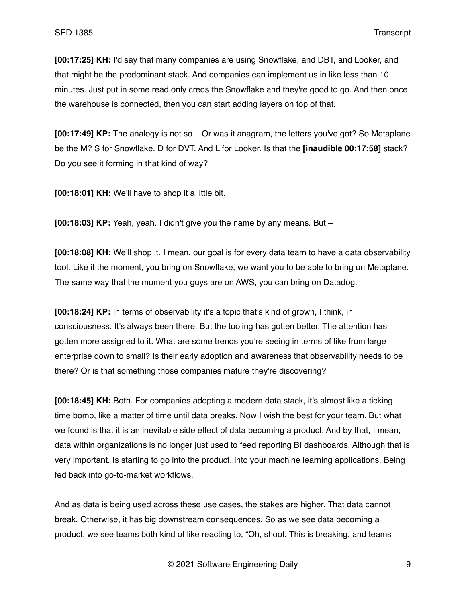**[00:17:25] KH:** I'd say that many companies are using Snowflake, and DBT, and Looker, and that might be the predominant stack. And companies can implement us in like less than 10 minutes. Just put in some read only creds the Snowflake and they're good to go. And then once the warehouse is connected, then you can start adding layers on top of that.

**[00:17:49] KP:** The analogy is not so – Or was it anagram, the letters you've got? So Metaplane be the M? S for Snowflake. D for DVT. And L for Looker. Is that the **[inaudible 00:17:58]** stack? Do you see it forming in that kind of way?

**[00:18:01] KH:** We'll have to shop it a little bit.

**[00:18:03] KP:** Yeah, yeah. I didn't give you the name by any means. But –

**[00:18:08] KH:** We'll shop it. I mean, our goal is for every data team to have a data observability tool. Like it the moment, you bring on Snowflake, we want you to be able to bring on Metaplane. The same way that the moment you guys are on AWS, you can bring on Datadog.

**[00:18:24] KP:** In terms of observability it's a topic that's kind of grown, I think, in consciousness. It's always been there. But the tooling has gotten better. The attention has gotten more assigned to it. What are some trends you're seeing in terms of like from large enterprise down to small? Is their early adoption and awareness that observability needs to be there? Or is that something those companies mature they're discovering?

**[00:18:45] KH:** Both. For companies adopting a modern data stack, it's almost like a ticking time bomb, like a matter of time until data breaks. Now I wish the best for your team. But what we found is that it is an inevitable side effect of data becoming a product. And by that, I mean, data within organizations is no longer just used to feed reporting BI dashboards. Although that is very important. Is starting to go into the product, into your machine learning applications. Being fed back into go-to-market workflows.

And as data is being used across these use cases, the stakes are higher. That data cannot break. Otherwise, it has big downstream consequences. So as we see data becoming a product, we see teams both kind of like reacting to, "Oh, shoot. This is breaking, and teams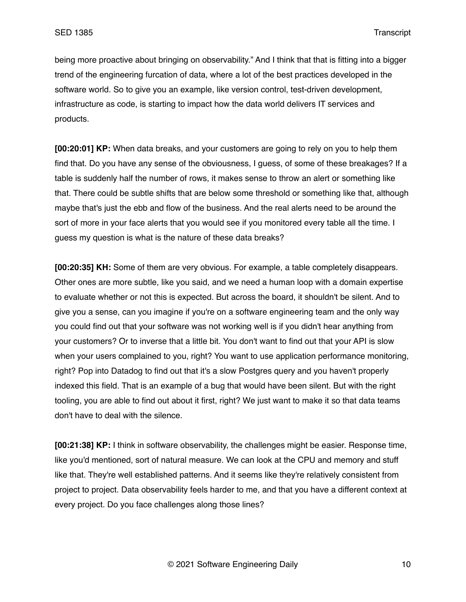being more proactive about bringing on observability." And I think that that is fitting into a bigger trend of the engineering furcation of data, where a lot of the best practices developed in the software world. So to give you an example, like version control, test-driven development, infrastructure as code, is starting to impact how the data world delivers IT services and products.

**[00:20:01] KP:** When data breaks, and your customers are going to rely on you to help them find that. Do you have any sense of the obviousness, I guess, of some of these breakages? If a table is suddenly half the number of rows, it makes sense to throw an alert or something like that. There could be subtle shifts that are below some threshold or something like that, although maybe that's just the ebb and flow of the business. And the real alerts need to be around the sort of more in your face alerts that you would see if you monitored every table all the time. I guess my question is what is the nature of these data breaks?

**[00:20:35] KH:** Some of them are very obvious. For example, a table completely disappears. Other ones are more subtle, like you said, and we need a human loop with a domain expertise to evaluate whether or not this is expected. But across the board, it shouldn't be silent. And to give you a sense, can you imagine if you're on a software engineering team and the only way you could find out that your software was not working well is if you didn't hear anything from your customers? Or to inverse that a little bit. You don't want to find out that your API is slow when your users complained to you, right? You want to use application performance monitoring, right? Pop into Datadog to find out that it's a slow Postgres query and you haven't properly indexed this field. That is an example of a bug that would have been silent. But with the right tooling, you are able to find out about it first, right? We just want to make it so that data teams don't have to deal with the silence.

**[00:21:38] KP:** I think in software observability, the challenges might be easier. Response time, like you'd mentioned, sort of natural measure. We can look at the CPU and memory and stuff like that. They're well established patterns. And it seems like they're relatively consistent from project to project. Data observability feels harder to me, and that you have a different context at every project. Do you face challenges along those lines?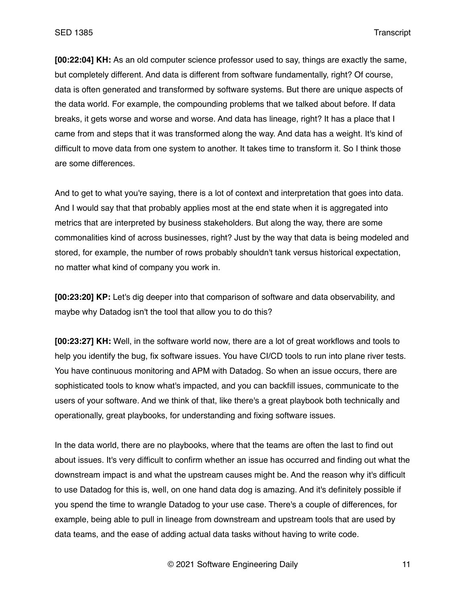**[00:22:04] KH:** As an old computer science professor used to say, things are exactly the same, but completely different. And data is different from software fundamentally, right? Of course, data is often generated and transformed by software systems. But there are unique aspects of the data world. For example, the compounding problems that we talked about before. If data breaks, it gets worse and worse and worse. And data has lineage, right? It has a place that I came from and steps that it was transformed along the way. And data has a weight. It's kind of difficult to move data from one system to another. It takes time to transform it. So I think those are some differences.

And to get to what you're saying, there is a lot of context and interpretation that goes into data. And I would say that that probably applies most at the end state when it is aggregated into metrics that are interpreted by business stakeholders. But along the way, there are some commonalities kind of across businesses, right? Just by the way that data is being modeled and stored, for example, the number of rows probably shouldn't tank versus historical expectation, no matter what kind of company you work in.

**[00:23:20] KP:** Let's dig deeper into that comparison of software and data observability, and maybe why Datadog isn't the tool that allow you to do this?

**[00:23:27] KH:** Well, in the software world now, there are a lot of great workflows and tools to help you identify the bug, fix software issues. You have CI/CD tools to run into plane river tests. You have continuous monitoring and APM with Datadog. So when an issue occurs, there are sophisticated tools to know what's impacted, and you can backfill issues, communicate to the users of your software. And we think of that, like there's a great playbook both technically and operationally, great playbooks, for understanding and fixing software issues.

In the data world, there are no playbooks, where that the teams are often the last to find out about issues. It's very difficult to confirm whether an issue has occurred and finding out what the downstream impact is and what the upstream causes might be. And the reason why it's difficult to use Datadog for this is, well, on one hand data dog is amazing. And it's definitely possible if you spend the time to wrangle Datadog to your use case. There's a couple of differences, for example, being able to pull in lineage from downstream and upstream tools that are used by data teams, and the ease of adding actual data tasks without having to write code.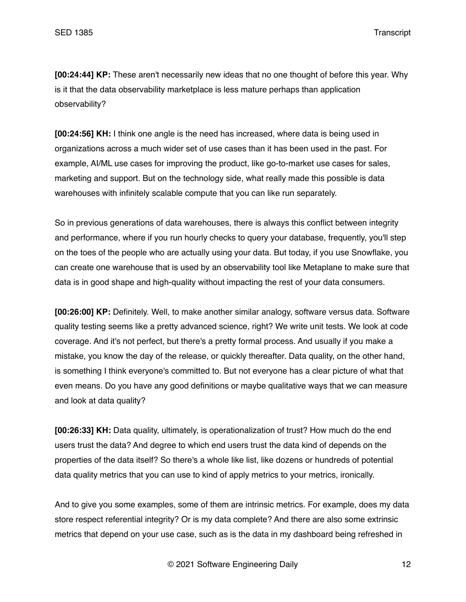**[00:24:44] KP:** These aren't necessarily new ideas that no one thought of before this year. Why is it that the data observability marketplace is less mature perhaps than application observability?

**[00:24:56] KH:** I think one angle is the need has increased, where data is being used in organizations across a much wider set of use cases than it has been used in the past. For example, AI/ML use cases for improving the product, like go-to-market use cases for sales, marketing and support. But on the technology side, what really made this possible is data warehouses with infinitely scalable compute that you can like run separately.

So in previous generations of data warehouses, there is always this conflict between integrity and performance, where if you run hourly checks to query your database, frequently, you'll step on the toes of the people who are actually using your data. But today, if you use Snowflake, you can create one warehouse that is used by an observability tool like Metaplane to make sure that data is in good shape and high-quality without impacting the rest of your data consumers.

**[00:26:00] KP:** Definitely. Well, to make another similar analogy, software versus data. Software quality testing seems like a pretty advanced science, right? We write unit tests. We look at code coverage. And it's not perfect, but there's a pretty formal process. And usually if you make a mistake, you know the day of the release, or quickly thereafter. Data quality, on the other hand, is something I think everyone's committed to. But not everyone has a clear picture of what that even means. Do you have any good definitions or maybe qualitative ways that we can measure and look at data quality?

**[00:26:33] KH:** Data quality, ultimately, is operationalization of trust? How much do the end users trust the data? And degree to which end users trust the data kind of depends on the properties of the data itself? So there's a whole like list, like dozens or hundreds of potential data quality metrics that you can use to kind of apply metrics to your metrics, ironically.

And to give you some examples, some of them are intrinsic metrics. For example, does my data store respect referential integrity? Or is my data complete? And there are also some extrinsic metrics that depend on your use case, such as is the data in my dashboard being refreshed in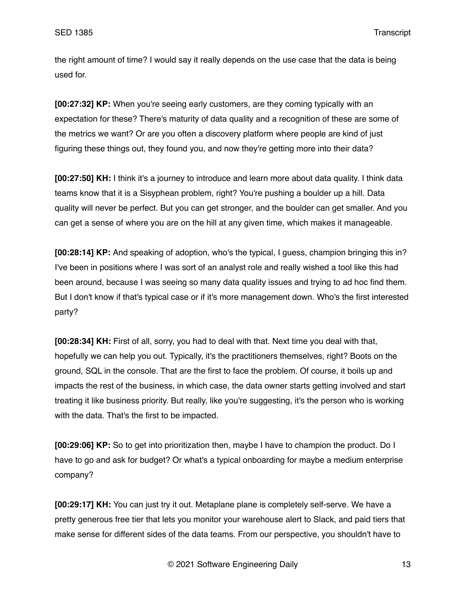the right amount of time? I would say it really depends on the use case that the data is being used for.

**[00:27:32] KP:** When you're seeing early customers, are they coming typically with an expectation for these? There's maturity of data quality and a recognition of these are some of the metrics we want? Or are you often a discovery platform where people are kind of just figuring these things out, they found you, and now they're getting more into their data?

**[00:27:50] KH:** I think it's a journey to introduce and learn more about data quality. I think data teams know that it is a Sisyphean problem, right? You're pushing a boulder up a hill. Data quality will never be perfect. But you can get stronger, and the boulder can get smaller. And you can get a sense of where you are on the hill at any given time, which makes it manageable.

**[00:28:14] KP:** And speaking of adoption, who's the typical, I guess, champion bringing this in? I've been in positions where I was sort of an analyst role and really wished a tool like this had been around, because I was seeing so many data quality issues and trying to ad hoc find them. But I don't know if that's typical case or if it's more management down. Who's the first interested party?

**[00:28:34] KH:** First of all, sorry, you had to deal with that. Next time you deal with that, hopefully we can help you out. Typically, it's the practitioners themselves, right? Boots on the ground, SQL in the console. That are the first to face the problem. Of course, it boils up and impacts the rest of the business, in which case, the data owner starts getting involved and start treating it like business priority. But really, like you're suggesting, it's the person who is working with the data. That's the first to be impacted.

**[00:29:06] KP:** So to get into prioritization then, maybe I have to champion the product. Do I have to go and ask for budget? Or what's a typical onboarding for maybe a medium enterprise company?

**[00:29:17] KH:** You can just try it out. Metaplane plane is completely self-serve. We have a pretty generous free tier that lets you monitor your warehouse alert to Slack, and paid tiers that make sense for different sides of the data teams. From our perspective, you shouldn't have to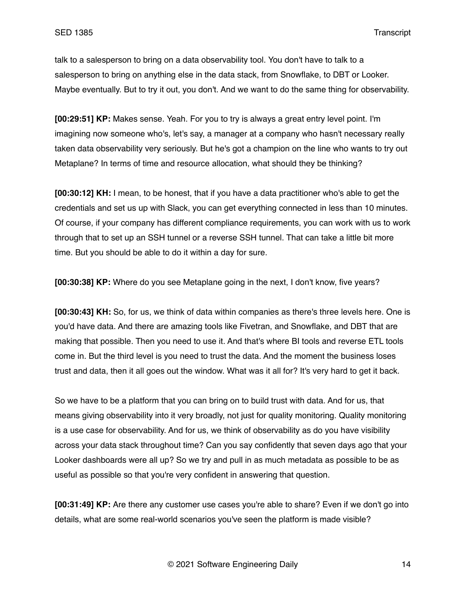talk to a salesperson to bring on a data observability tool. You don't have to talk to a salesperson to bring on anything else in the data stack, from Snowflake, to DBT or Looker. Maybe eventually. But to try it out, you don't. And we want to do the same thing for observability.

**[00:29:51] KP:** Makes sense. Yeah. For you to try is always a great entry level point. I'm imagining now someone who's, let's say, a manager at a company who hasn't necessary really taken data observability very seriously. But he's got a champion on the line who wants to try out Metaplane? In terms of time and resource allocation, what should they be thinking?

**[00:30:12] KH:** I mean, to be honest, that if you have a data practitioner who's able to get the credentials and set us up with Slack, you can get everything connected in less than 10 minutes. Of course, if your company has different compliance requirements, you can work with us to work through that to set up an SSH tunnel or a reverse SSH tunnel. That can take a little bit more time. But you should be able to do it within a day for sure.

**[00:30:38] KP:** Where do you see Metaplane going in the next, I don't know, five years?

**[00:30:43] KH:** So, for us, we think of data within companies as there's three levels here. One is you'd have data. And there are amazing tools like Fivetran, and Snowflake, and DBT that are making that possible. Then you need to use it. And that's where BI tools and reverse ETL tools come in. But the third level is you need to trust the data. And the moment the business loses trust and data, then it all goes out the window. What was it all for? It's very hard to get it back.

So we have to be a platform that you can bring on to build trust with data. And for us, that means giving observability into it very broadly, not just for quality monitoring. Quality monitoring is a use case for observability. And for us, we think of observability as do you have visibility across your data stack throughout time? Can you say confidently that seven days ago that your Looker dashboards were all up? So we try and pull in as much metadata as possible to be as useful as possible so that you're very confident in answering that question.

**[00:31:49] KP:** Are there any customer use cases you're able to share? Even if we don't go into details, what are some real-world scenarios you've seen the platform is made visible?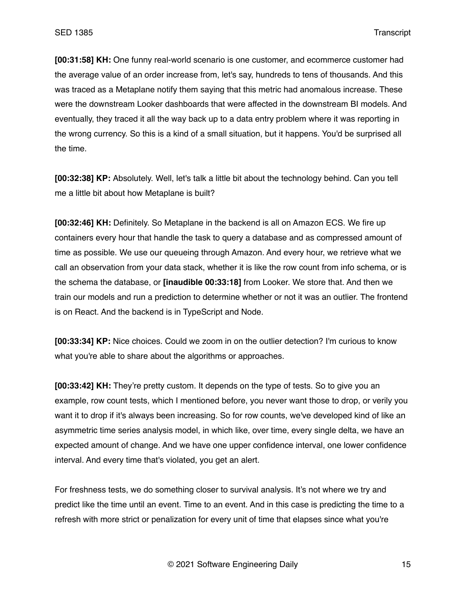**[00:31:58] KH:** One funny real-world scenario is one customer, and ecommerce customer had the average value of an order increase from, let's say, hundreds to tens of thousands. And this was traced as a Metaplane notify them saying that this metric had anomalous increase. These were the downstream Looker dashboards that were affected in the downstream BI models. And eventually, they traced it all the way back up to a data entry problem where it was reporting in the wrong currency. So this is a kind of a small situation, but it happens. You'd be surprised all the time.

**[00:32:38] KP:** Absolutely. Well, let's talk a little bit about the technology behind. Can you tell me a little bit about how Metaplane is built?

**[00:32:46] KH:** Definitely. So Metaplane in the backend is all on Amazon ECS. We fire up containers every hour that handle the task to query a database and as compressed amount of time as possible. We use our queueing through Amazon. And every hour, we retrieve what we call an observation from your data stack, whether it is like the row count from info schema, or is the schema the database, or **[inaudible 00:33:18]** from Looker. We store that. And then we train our models and run a prediction to determine whether or not it was an outlier. The frontend is on React. And the backend is in TypeScript and Node.

**[00:33:34] KP:** Nice choices. Could we zoom in on the outlier detection? I'm curious to know what you're able to share about the algorithms or approaches.

**[00:33:42] KH:** They're pretty custom. It depends on the type of tests. So to give you an example, row count tests, which I mentioned before, you never want those to drop, or verily you want it to drop if it's always been increasing. So for row counts, we've developed kind of like an asymmetric time series analysis model, in which like, over time, every single delta, we have an expected amount of change. And we have one upper confidence interval, one lower confidence interval. And every time that's violated, you get an alert.

For freshness tests, we do something closer to survival analysis. It's not where we try and predict like the time until an event. Time to an event. And in this case is predicting the time to a refresh with more strict or penalization for every unit of time that elapses since what you're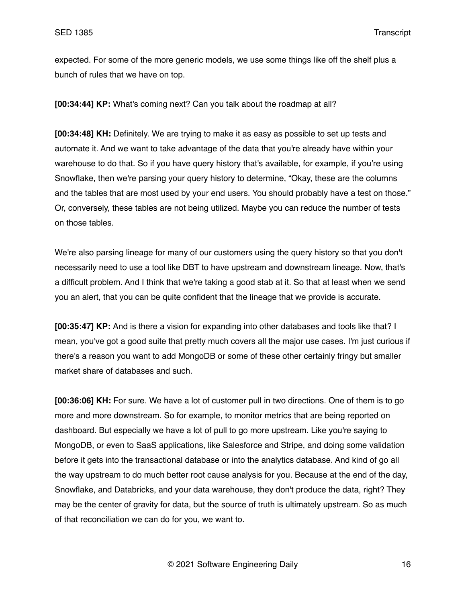expected. For some of the more generic models, we use some things like off the shelf plus a bunch of rules that we have on top.

**[00:34:44] KP:** What's coming next? Can you talk about the roadmap at all?

**[00:34:48] KH:** Definitely. We are trying to make it as easy as possible to set up tests and automate it. And we want to take advantage of the data that you're already have within your warehouse to do that. So if you have query history that's available, for example, if you're using Snowflake, then we're parsing your query history to determine, "Okay, these are the columns and the tables that are most used by your end users. You should probably have a test on those." Or, conversely, these tables are not being utilized. Maybe you can reduce the number of tests on those tables.

We're also parsing lineage for many of our customers using the query history so that you don't necessarily need to use a tool like DBT to have upstream and downstream lineage. Now, that's a difficult problem. And I think that we're taking a good stab at it. So that at least when we send you an alert, that you can be quite confident that the lineage that we provide is accurate.

**[00:35:47] KP:** And is there a vision for expanding into other databases and tools like that? I mean, you've got a good suite that pretty much covers all the major use cases. I'm just curious if there's a reason you want to add MongoDB or some of these other certainly fringy but smaller market share of databases and such.

**[00:36:06] KH:** For sure. We have a lot of customer pull in two directions. One of them is to go more and more downstream. So for example, to monitor metrics that are being reported on dashboard. But especially we have a lot of pull to go more upstream. Like you're saying to MongoDB, or even to SaaS applications, like Salesforce and Stripe, and doing some validation before it gets into the transactional database or into the analytics database. And kind of go all the way upstream to do much better root cause analysis for you. Because at the end of the day, Snowflake, and Databricks, and your data warehouse, they don't produce the data, right? They may be the center of gravity for data, but the source of truth is ultimately upstream. So as much of that reconciliation we can do for you, we want to.